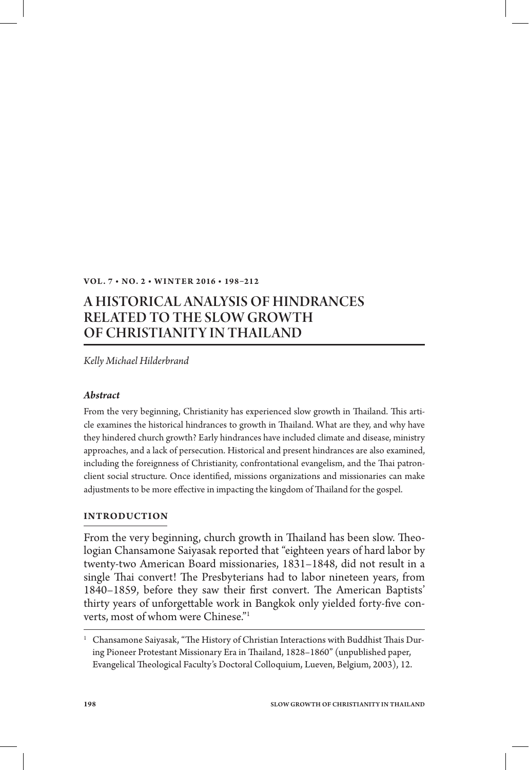#### **VOL. 7 • NO. 2 • WINT ER 2 016 • 198–212**

# A HISTORICAL ANALYSIS OF HINDRANCES RELATED TO THE SLOW GROWTH OF CHRISTIANITY IN THAILAND

*Kelly Michael Hilderbrand*

### *Abstract*

From the very beginning, Christianity has experienced slow growth in Thailand. This article examines the historical hindrances to growth in Thailand. What are they, and why have they hindered church growth? Early hindrances have included climate and disease, ministry approaches, and a lack of persecution. Historical and present hindrances are also examined, including the foreignness of Christianity, confrontational evangelism, and the Thai patronclient social structure. Once identified, missions organizations and missionaries can make adjustments to be more effective in impacting the kingdom of Thailand for the gospel.

### **INTRODUCTION**

From the very beginning, church growth in Thailand has been slow. Theologian Chansamone Saiyasak reported that "eighteen years of hard labor by twenty-two American Board missionaries, 1831–1848, did not result in a single Thai convert! The Presbyterians had to labor nineteen years, from 1840–1859, before they saw their first convert. The American Baptists' thirty years of unforgettable work in Bangkok only yielded forty-five converts, most of whom were Chinese."1

 $^1$  Chansamone Saiyasak, "The History of Christian Interactions with Buddhist Thais During Pioneer Protestant Missionary Era in Thailand, 1828–1860" (unpublished paper, Evangelical Theological Faculty's Doctoral Colloquium, Lueven, Belgium, 2003), 12.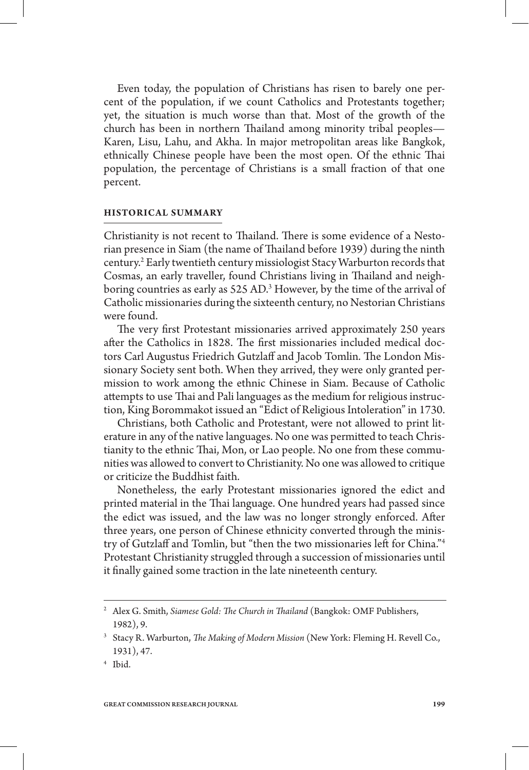Even today, the population of Christians has risen to barely one percent of the population, if we count Catholics and Protestants together; yet, the situation is much worse than that. Most of the growth of the church has been in northern Thailand among minority tribal peoples— Karen, Lisu, Lahu, and Akha. In major metropolitan areas like Bangkok, ethnically Chinese people have been the most open. Of the ethnic Thai population, the percentage of Christians is a small fraction of that one percent.

#### **HISTORICAL SUMMARY**

Christianity is not recent to Thailand. There is some evidence of a Nestorian presence in Siam (the name of Thailand before 1939) during the ninth century.2 Early twentieth century missiologist Stacy Warburton records that Cosmas, an early traveller, found Christians living in Thailand and neighboring countries as early as 525 AD.<sup>3</sup> However, by the time of the arrival of Catholic missionaries during the sixteenth century, no Nestorian Christians were found.

The very first Protestant missionaries arrived approximately 250 years after the Catholics in 1828. The first missionaries included medical doctors Carl Augustus Friedrich Gutzlaff and Jacob Tomlin. The London Missionary Society sent both. When they arrived, they were only granted permission to work among the ethnic Chinese in Siam. Because of Catholic attempts to use Thai and Pali languages as the medium for religious instruction, King Borommakot issued an "Edict of Religious Intoleration" in 1730.

Christians, both Catholic and Protestant, were not allowed to print literature in any of the native languages. No one was permitted to teach Christianity to the ethnic Thai, Mon, or Lao people. No one from these communities was allowed to convert to Christianity. No one was allowed to critique or criticize the Buddhist faith.

Nonetheless, the early Protestant missionaries ignored the edict and printed material in the Thai language. One hundred years had passed since the edict was issued, and the law was no longer strongly enforced. After three years, one person of Chinese ethnicity converted through the ministry of Gutzlaff and Tomlin, but "then the two missionaries left for China."<sup>4</sup> Protestant Christianity struggled through a succession of missionaries until it finally gained some traction in the late nineteenth century.

<sup>&</sup>lt;sup>2</sup> Alex G. Smith, *Siamese Gold: The Church in Thailand* (Bangkok: OMF Publishers, 1982), 9.

<sup>&</sup>lt;sup>3</sup> Stacy R. Warburton, *The Making of Modern Mission* (New York: Fleming H. Revell Co., 1931), 47.

<sup>4</sup> Ibid.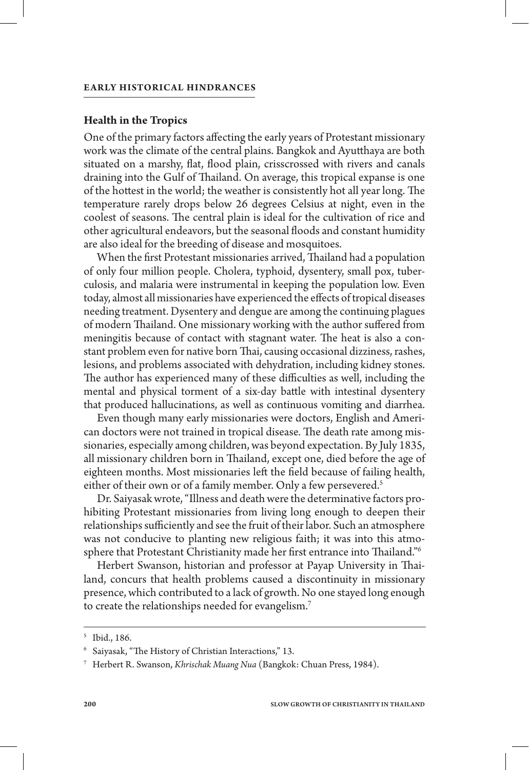#### **Health in the Tropics**

One of the primary factors affecting the early years of Protestant missionary work was the climate of the central plains. Bangkok and Ayutthaya are both situated on a marshy, flat, flood plain, crisscrossed with rivers and canals draining into the Gulf of Thailand. On average, this tropical expanse is one of the hottest in the world; the weather is consistently hot all year long. The temperature rarely drops below 26 degrees Celsius at night, even in the coolest of seasons. The central plain is ideal for the cultivation of rice and other agricultural endeavors, but the seasonal floods and constant humidity are also ideal for the breeding of disease and mosquitoes.

When the first Protestant missionaries arrived, Thailand had a population of only four million people. Cholera, typhoid, dysentery, small pox, tuberculosis, and malaria were instrumental in keeping the population low. Even today, almost all missionaries have experienced the effects of tropical diseases needing treatment. Dysentery and dengue are among the continuing plagues of modern Thailand. One missionary working with the author suffered from meningitis because of contact with stagnant water. The heat is also a constant problem even for native born Thai, causing occasional dizziness, rashes, lesions, and problems associated with dehydration, including kidney stones. The author has experienced many of these difficulties as well, including the mental and physical torment of a six-day battle with intestinal dysentery that produced hallucinations, as well as continuous vomiting and diarrhea.

Even though many early missionaries were doctors, English and American doctors were not trained in tropical disease. The death rate among missionaries, especially among children, was beyond expectation. By July 1835, all missionary children born in Thailand, except one, died before the age of eighteen months. Most missionaries left the field because of failing health, either of their own or of a family member. Only a few persevered.<sup>5</sup>

Dr. Saiyasak wrote, "Illness and death were the determinative factors prohibiting Protestant missionaries from living long enough to deepen their relationships sufficiently and see the fruit of their labor. Such an atmosphere was not conducive to planting new religious faith; it was into this atmosphere that Protestant Christianity made her first entrance into Thailand."<sup>6</sup>

Herbert Swanson, historian and professor at Payap University in Thailand, concurs that health problems caused a discontinuity in missionary presence, which contributed to a lack of growth. No one stayed long enough to create the relationships needed for evangelism.7

<sup>5</sup> Ibid., 186.

 $^6$  Saiyasak, "The History of Christian Interactions," 13.

<sup>7</sup> Herbert R. Swanson, *Khrischak Muang Nua* (Bangkok: Chuan Press, 1984).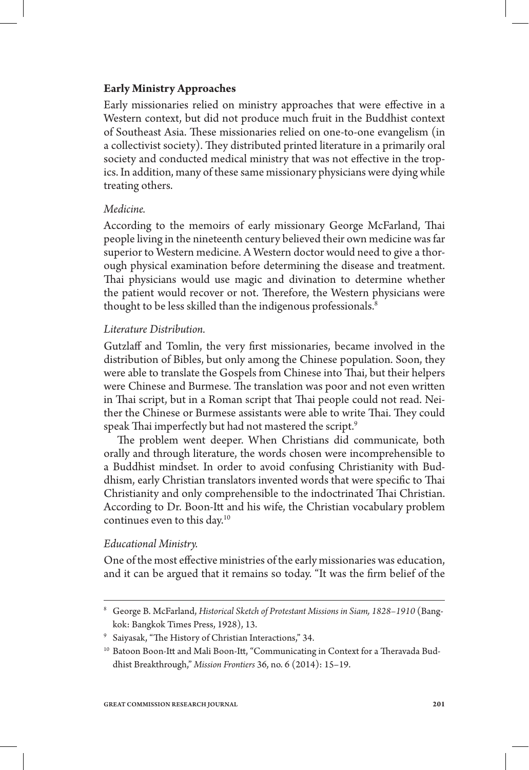# **Early Ministry Approaches**

Early missionaries relied on ministry approaches that were effective in a Western context, but did not produce much fruit in the Buddhist context of Southeast Asia. These missionaries relied on one-to-one evangelism (in a collectivist society). They distributed printed literature in a primarily oral society and conducted medical ministry that was not effective in the tropics. In addition, many of these same missionary physicians were dying while treating others.

## *Medicine.*

According to the memoirs of early missionary George McFarland, Thai people living in the nineteenth century believed their own medicine was far superior to Western medicine. A Western doctor would need to give a thorough physical examination before determining the disease and treatment. Thai physicians would use magic and divination to determine whether the patient would recover or not. Therefore, the Western physicians were thought to be less skilled than the indigenous professionals.<sup>8</sup>

### *Literature Distribution.*

Gutzlaff and Tomlin, the very first missionaries, became involved in the distribution of Bibles, but only among the Chinese population. Soon, they were able to translate the Gospels from Chinese into Thai, but their helpers were Chinese and Burmese. The translation was poor and not even written in Thai script, but in a Roman script that Thai people could not read. Neither the Chinese or Burmese assistants were able to write Thai. They could speak Thai imperfectly but had not mastered the script.<sup>9</sup>

The problem went deeper. When Christians did communicate, both orally and through literature, the words chosen were incomprehensible to a Buddhist mindset. In order to avoid confusing Christianity with Buddhism, early Christian translators invented words that were specific to Thai Christianity and only comprehensible to the indoctrinated Thai Christian. According to Dr. Boon-Itt and his wife, the Christian vocabulary problem continues even to this day.<sup>10</sup>

# *Educational Ministry.*

One of the most effective ministries of the early missionaries was education, and it can be argued that it remains so today. "It was the firm belief of the

<sup>8</sup> George B. McFarland, *Historical Sketch of Protestant Missions in Siam, 1828–1910* (Bangkok: Bangkok Times Press, 1928), 13.

 $^9$  Saiyasak, "The History of Christian Interactions," 34.

<sup>&</sup>lt;sup>10</sup> Batoon Boon-Itt and Mali Boon-Itt, "Communicating in Context for a Theravada Buddhist Breakthrough," *Mission Frontiers* 36, no. 6 (2014): 15–19.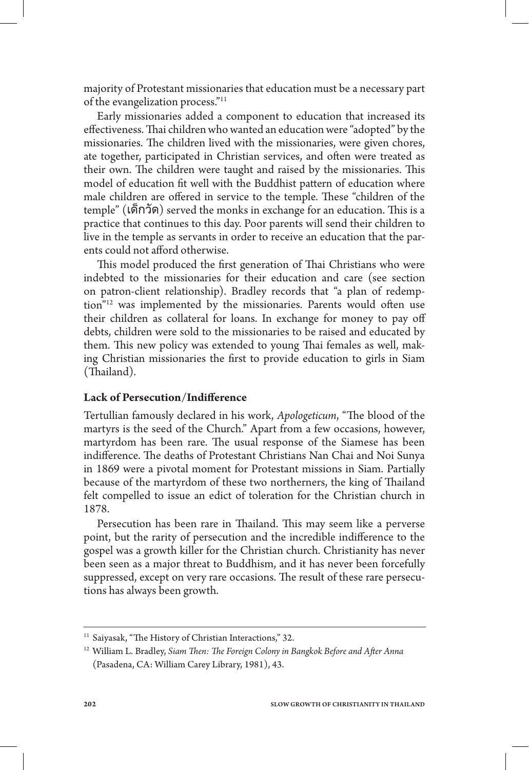majority of Protestant missionaries that education must be a necessary part of the evangelization process."11

Early missionaries added a component to education that increased its effectiveness. Thai children who wanted an education were "adopted" by the missionaries. The children lived with the missionaries, were given chores, ate together, participated in Christian services, and often were treated as their own. The children were taught and raised by the missionaries. This model of education fit well with the Buddhist pattern of education where male children are offered in service to the temple. These "children of the temple" (เด็กวัด) served the monks in exchange for an education. This is a practice that continues to this day. Poor parents will send their children to live in the temple as servants in order to receive an education that the parents could not afford otherwise.

This model produced the first generation of Thai Christians who were indebted to the missionaries for their education and care (see section on patron-client relationship). Bradley records that "a plan of redemption"<sup>12</sup> was implemented by the missionaries. Parents would often use their children as collateral for loans. In exchange for money to pay off debts, children were sold to the missionaries to be raised and educated by them. This new policy was extended to young Thai females as well, making Christian missionaries the first to provide education to girls in Siam (Thailand).

### **Lack of Persecution/Indifference**

Tertullian famously declared in his work, *Apologeticum*, "The blood of the martyrs is the seed of the Church." Apart from a few occasions, however, martyrdom has been rare. The usual response of the Siamese has been indifference. The deaths of Protestant Christians Nan Chai and Noi Sunya in 1869 were a pivotal moment for Protestant missions in Siam. Partially because of the martyrdom of these two northerners, the king of Thailand felt compelled to issue an edict of toleration for the Christian church in 1878.

Persecution has been rare in Thailand. This may seem like a perverse point, but the rarity of persecution and the incredible indifference to the gospel was a growth killer for the Christian church. Christianity has never been seen as a major threat to Buddhism, and it has never been forcefully suppressed, except on very rare occasions. The result of these rare persecutions has always been growth.

<sup>&</sup>lt;sup>11</sup> Saiyasak, "The History of Christian Interactions," 32.

<sup>&</sup>lt;sup>12</sup> William L. Bradley, Siam Then: The Foreign Colony in Bangkok Before and After Anna (Pasadena, CA: William Carey Library, 1981), 43.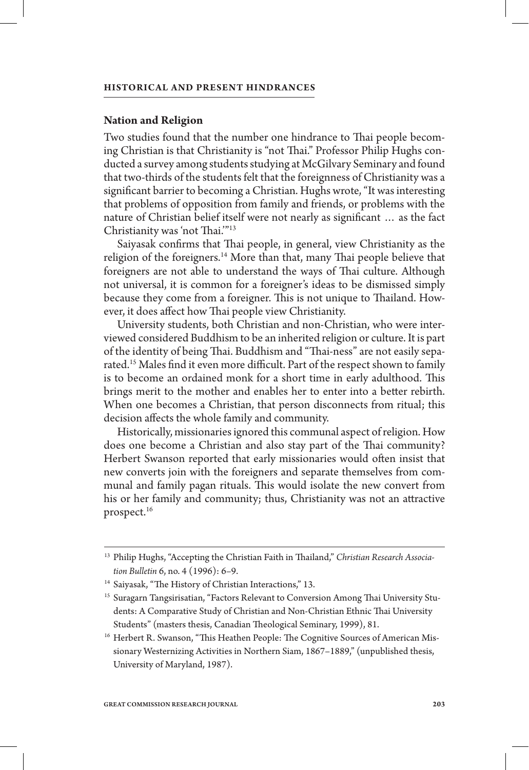#### **Nation and Religion**

Two studies found that the number one hindrance to Thai people becoming Christian is that Christianity is "not Thai." Professor Philip Hughs conducted a survey among students studying at McGilvary Seminary and found that two-thirds of the students felt that the foreignness of Christianity was a significant barrier to becoming a Christian. Hughs wrote, "It was interesting that problems of opposition from family and friends, or problems with the nature of Christian belief itself were not nearly as significant ... as the fact Christianity was 'not Thai."<sup>13</sup>

Saiyasak confirms that Thai people, in general, view Christianity as the religion of the foreigners.<sup>14</sup> More than that, many Thai people believe that foreigners are not able to understand the ways of Thai culture. Although not universal, it is common for a foreigner's ideas to be dismissed simply because they come from a foreigner. This is not unique to Thailand. However, it does affect how Thai people view Christianity.

University students, both Christian and non-Christian, who were interviewed considered Buddhism to be an inherited religion or culture. It is part of the identity of being Thai. Buddhism and "Thai-ness" are not easily separated.<sup>15</sup> Males find it even more difficult. Part of the respect shown to family is to become an ordained monk for a short time in early adulthood. This brings merit to the mother and enables her to enter into a better rebirth. When one becomes a Christian, that person disconnects from ritual; this decision affects the whole family and community.

Historically, missionaries ignored this communal aspect of religion. How does one become a Christian and also stay part of the Thai community? Herbert Swanson reported that early missionaries would often insist that new converts join with the foreigners and separate themselves from communal and family pagan rituals. This would isolate the new convert from his or her family and community; thus, Christianity was not an attractive prospect.16

<sup>&</sup>lt;sup>13</sup> Philip Hughs, "Accepting the Christian Faith in Thailand," Christian Research Associa*tion Bulletin* 6, no. 4 (1996): 6–9.

<sup>&</sup>lt;sup>14</sup> Saiyasak, "The History of Christian Interactions," 13.

<sup>&</sup>lt;sup>15</sup> Suragarn Tangsirisatian, "Factors Relevant to Conversion Among Thai University Students: A Comparative Study of Christian and Non-Christian Ethnic Thai University Students" (masters thesis, Canadian Theological Seminary, 1999), 81.

<sup>&</sup>lt;sup>16</sup> Herbert R. Swanson, "This Heathen People: The Cognitive Sources of American Missionary Westernizing Activities in Northern Siam, 1867–1889," (unpublished thesis, University of Maryland, 1987).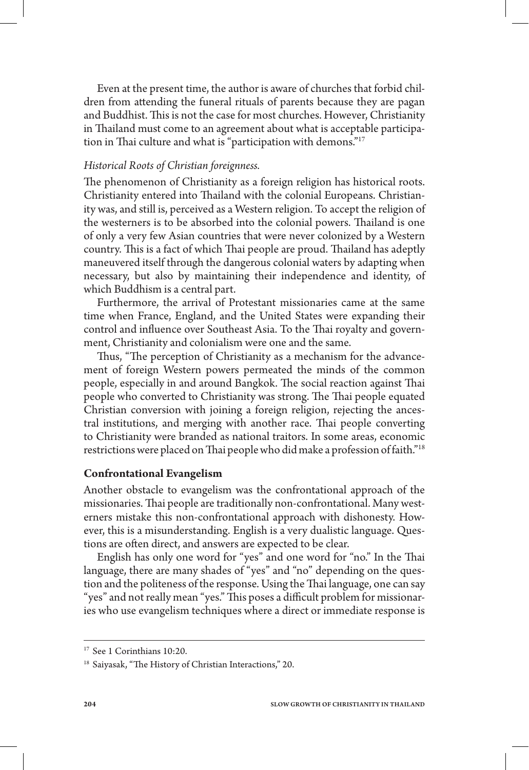Even at the present time, the author is aware of churches that forbid children from attending the funeral rituals of parents because they are pagan and Buddhist. This is not the case for most churches. However, Christianity in Thailand must come to an agreement about what is acceptable participation in Thai culture and what is "participation with demons."<sup>17</sup>

# *Historical Roots of Christian foreignness.*

The phenomenon of Christianity as a foreign religion has historical roots. Christianity entered into Thailand with the colonial Europeans. Christianity was, and still is, perceived as a Western religion. To accept the religion of the westerners is to be absorbed into the colonial powers. Thailand is one of only a very few Asian countries that were never colonized by a Western country. This is a fact of which Thai people are proud. Thailand has adeptly maneuvered itself through the dangerous colonial waters by adapting when necessary, but also by maintaining their independence and identity, of which Buddhism is a central part.

Furthermore, the arrival of Protestant missionaries came at the same time when France, England, and the United States were expanding their control and influence over Southeast Asia. To the Thai royalty and government, Christianity and colonialism were one and the same.

Thus, "The perception of Christianity as a mechanism for the advancement of foreign Western powers permeated the minds of the common people, especially in and around Bangkok. The social reaction against Thai people who converted to Christianity was strong. The Thai people equated Christian conversion with joining a foreign religion, rejecting the ancestral institutions, and merging with another race. Thai people converting to Christianity were branded as national traitors. In some areas, economic restrictions were placed on Thai people who did make a profession of faith."<sup>18</sup>

# **Confrontational Evangelism**

Another obstacle to evangelism was the confrontational approach of the missionaries. Thai people are traditionally non-confrontational. Many westerners mistake this non-confrontational approach with dishonesty. However, this is a misunderstanding. English is a very dualistic language. Questions are often direct, and answers are expected to be clear.

English has only one word for "yes" and one word for "no." In the Thai language, there are many shades of "yes" and "no" depending on the question and the politeness of the response. Using the Thai language, one can say "yes" and not really mean "yes." This poses a difficult problem for missionaries who use evangelism techniques where a direct or immediate response is

<sup>&</sup>lt;sup>17</sup> See 1 Corinthians 10:20.

<sup>&</sup>lt;sup>18</sup> Saiyasak, "The History of Christian Interactions," 20.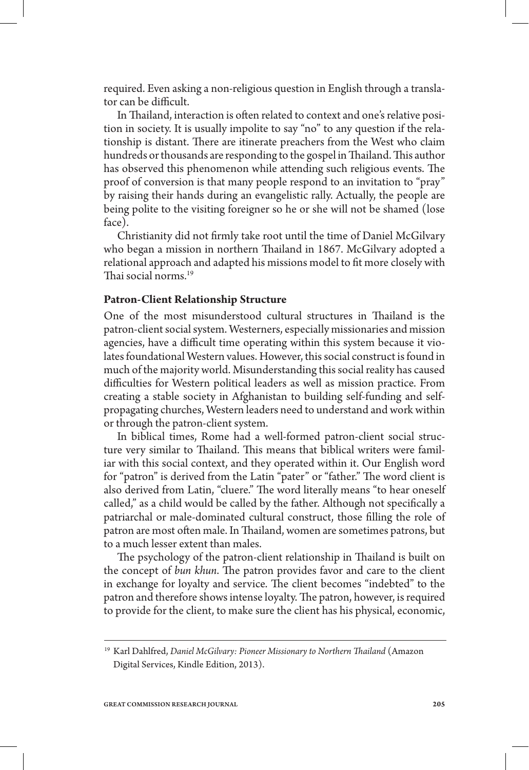required. Even asking a non-religious question in English through a translator can be difficult.

In Thailand, interaction is often related to context and one's relative position in society. It is usually impolite to say "no" to any question if the relationship is distant. There are itinerate preachers from the West who claim hundreds or thousands are responding to the gospel in Thailand. This author has observed this phenomenon while attending such religious events. The proof of conversion is that many people respond to an invitation to "pray" by raising their hands during an evangelistic rally. Actually, the people are being polite to the visiting foreigner so he or she will not be shamed (lose face).

Christianity did not firmly take root until the time of Daniel McGilvary who began a mission in northern Thailand in 1867. McGilvary adopted a relational approach and adapted his missions model to fit more closely with Thai social norms.<sup>19</sup>

### **Patron-Client Relationship Structure**

One of the most misunderstood cultural structures in Thailand is the patron-client social system. Westerners, especially missionaries and mission agencies, have a difficult time operating within this system because it violates foundational Western values. However, this social construct is found in much of the majority world. Misunderstanding this social reality has caused difficulties for Western political leaders as well as mission practice. From creating a stable society in Afghanistan to building self-funding and selfpropagating churches, Western leaders need to understand and work within or through the patron-client system.

In biblical times, Rome had a well-formed patron-client social structure very similar to Thailand. This means that biblical writers were familiar with this social context, and they operated within it. Our English word for "patron" is derived from the Latin "pater" or "father." The word client is also derived from Latin, "cluere." The word literally means "to hear oneself called," as a child would be called by the father. Although not specifically a patriarchal or male-dominated cultural construct, those filling the role of patron are most often male. In Thailand, women are sometimes patrons, but to a much lesser extent than males.

The psychology of the patron-client relationship in Thailand is built on the concept of *bun khun*. The patron provides favor and care to the client in exchange for loyalty and service. The client becomes "indebted" to the patron and therefore shows intense loyalty. The patron, however, is required to provide for the client, to make sure the client has his physical, economic,

<sup>&</sup>lt;sup>19</sup> Karl Dahlfred, *Daniel McGilvary: Pioneer Missionary to Northern Thailand* (Amazon Digital Services, Kindle Edition, 2013).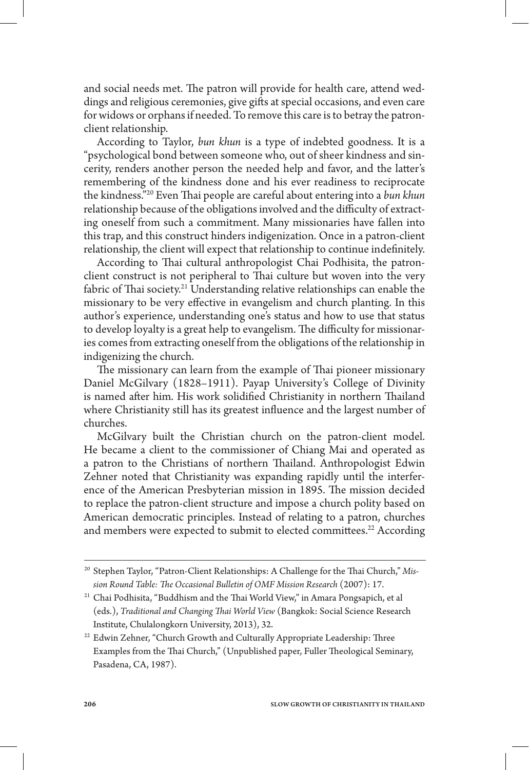and social needs met. The patron will provide for health care, attend weddings and religious ceremonies, give gifts at special occasions, and even care for widows or orphans if needed. To remove this care is to betray the patronclient relationship.

According to Taylor, *bun khun* is a type of indebted goodness. It is a "psychological bond between someone who, out of sheer kindness and sincerity, renders another person the needed help and favor, and the latter's remembering of the kindness done and his ever readiness to reciprocate the kindness."<sup>20</sup> Even Thai people are careful about entering into a *bun khun* relationship because of the obligations involved and the difficulty of extracting oneself from such a commitment. Many missionaries have fallen into this trap, and this construct hinders indigenization. Once in a patron-client relationship, the client will expect that relationship to continue indefinitely.

According to Thai cultural anthropologist Chai Podhisita, the patronclient construct is not peripheral to Thai culture but woven into the very fabric of Thai society.<sup>21</sup> Understanding relative relationships can enable the missionary to be very effective in evangelism and church planting. In this author's experience, understanding one's status and how to use that status to develop loyalty is a great help to evangelism. The difficulty for missionaries comes from extracting oneself from the obligations of the relationship in indigenizing the church.

The missionary can learn from the example of Thai pioneer missionary Daniel McGilvary (1828–1911). Payap University's College of Divinity is named after him. His work solidified Christianity in northern Thailand where Christianity still has its greatest influence and the largest number of churches.

McGilvary built the Christian church on the patron-client model. He became a client to the commissioner of Chiang Mai and operated as a patron to the Christians of northern Thailand. Anthropologist Edwin Zehner noted that Christianity was expanding rapidly until the interference of the American Presbyterian mission in 1895. The mission decided to replace the patron-client structure and impose a church polity based on American democratic principles. Instead of relating to a patron, churches and members were expected to submit to elected committees.<sup>22</sup> According

<sup>&</sup>lt;sup>20</sup> Stephen Taylor, "Patron-Client Relationships: A Challenge for the Thai Church," Mis*sion Round Table: e Occasional Bulletin of OMF Mission Research* (2007): 17.

<sup>&</sup>lt;sup>21</sup> Chai Podhisita, "Buddhism and the Thai World View," in Amara Pongsapich, et al (eds.), *Traditional and Changing Thai World View* (Bangkok: Social Science Research Institute, Chulalongkorn University, 2013), 32.

<sup>&</sup>lt;sup>22</sup> Edwin Zehner, "Church Growth and Culturally Appropriate Leadership: Three Examples from the Thai Church," (Unpublished paper, Fuller Theological Seminary, Pasadena, CA, 1987).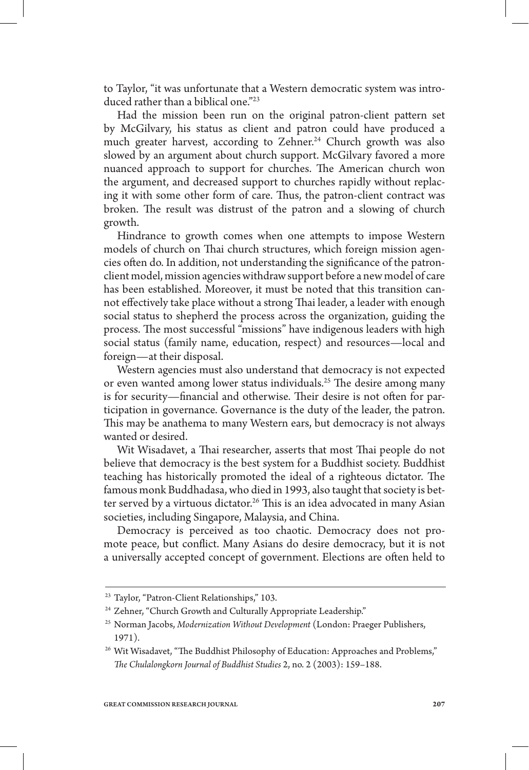to Taylor, "it was unfortunate that a Western democratic system was introduced rather than a biblical one."23

Had the mission been run on the original patron-client pattern set by McGilvary, his status as client and patron could have produced a much greater harvest, according to Zehner.<sup>24</sup> Church growth was also slowed by an argument about church support. McGilvary favored a more nuanced approach to support for churches. The American church won the argument, and decreased support to churches rapidly without replacing it with some other form of care. Thus, the patron-client contract was broken. The result was distrust of the patron and a slowing of church growth.

Hindrance to growth comes when one attempts to impose Western models of church on Thai church structures, which foreign mission agencies often do. In addition, not understanding the significance of the patronclient model, mission agencies withdraw support before a new model of care has been established. Moreover, it must be noted that this transition cannot effectively take place without a strong Thai leader, a leader with enough social status to shepherd the process across the organization, guiding the process. The most successful "missions" have indigenous leaders with high social status (family name, education, respect) and resources—local and foreign—at their disposal.

Western agencies must also understand that democracy is not expected or even wanted among lower status individuals.<sup>25</sup> The desire among many is for security—financial and otherwise. Their desire is not often for participation in governance. Governance is the duty of the leader, the patron. This may be anathema to many Western ears, but democracy is not always wanted or desired.

Wit Wisadavet, a Thai researcher, asserts that most Thai people do not believe that democracy is the best system for a Buddhist society. Buddhist teaching has historically promoted the ideal of a righteous dictator. The famous monk Buddhadasa, who died in 1993, also taught that society is better served by a virtuous dictator.<sup>26</sup> This is an idea advocated in many Asian societies, including Singapore, Malaysia, and China.

Democracy is perceived as too chaotic. Democracy does not promote peace, but conflict. Many Asians do desire democracy, but it is not a universally accepted concept of government. Elections are often held to

<sup>23</sup> Taylor, "Patron-Client Relationships," 103.

<sup>&</sup>lt;sup>24</sup> Zehner, "Church Growth and Culturally Appropriate Leadership."

<sup>25</sup> Norman Jacobs, *Modernization Without Development* (London: Praeger Publishers, 1971).

 $26$  Wit Wisadavet, "The Buddhist Philosophy of Education: Approaches and Problems,"  *e Chulalongkorn Journal of Buddhist Studies* 2, no. 2 (2003): 159–188.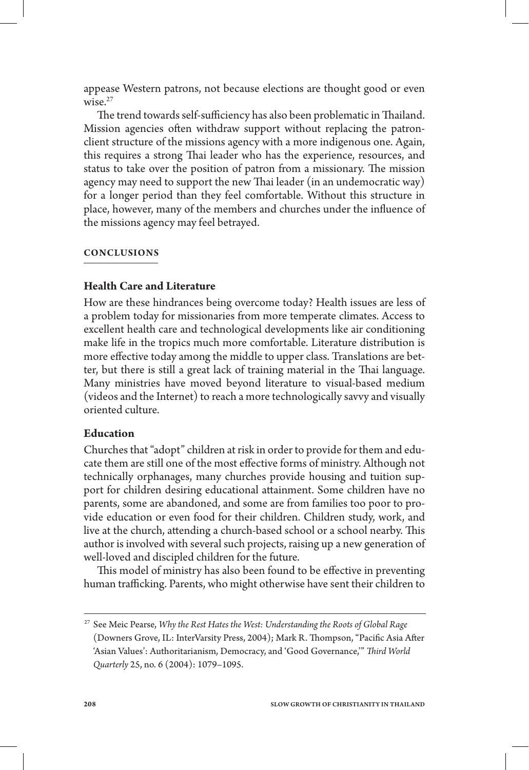appease Western patrons, not because elections are thought good or even wise. $27$ 

The trend towards self-sufficiency has also been problematic in Thailand. Mission agencies often withdraw support without replacing the patronclient structure of the missions agency with a more indigenous one. Again, this requires a strong Thai leader who has the experience, resources, and status to take over the position of patron from a missionary. The mission agency may need to support the new Thai leader (in an undemocratic way) for a longer period than they feel comfortable. Without this structure in place, however, many of the members and churches under the influence of the missions agency may feel betrayed.

### **CONCLUSIONS**

### **Health Care and Literature**

How are these hindrances being overcome today? Health issues are less of a problem today for missionaries from more temperate climates. Access to excellent health care and technological developments like air conditioning make life in the tropics much more comfortable. Literature distribution is more effective today among the middle to upper class. Translations are better, but there is still a great lack of training material in the Thai language. Many ministries have moved beyond literature to visual-based medium (videos and the Internet) to reach a more technologically savvy and visually oriented culture.

### **Education**

Churches that "adopt" children at risk in order to provide for them and educate them are still one of the most effective forms of ministry. Although not technically orphanages, many churches provide housing and tuition support for children desiring educational attainment. Some children have no parents, some are abandoned, and some are from families too poor to provide education or even food for their children. Children study, work, and live at the church, attending a church-based school or a school nearby. This author is involved with several such projects, raising up a new generation of well-loved and discipled children for the future.

This model of ministry has also been found to be effective in preventing human trafficking. Parents, who might otherwise have sent their children to

<sup>27</sup> See Meic Pearse, *Why the Rest Hates the West: Understanding the Roots of Global Rage* (Downers Grove, IL: InterVarsity Press, 2004); Mark R. Thompson, "Pacific Asia After 'Asian Values': Authoritarianism, Democracy, and 'Good Governance,'"  *ird World Quarterly* 25, no. 6 (2004): 1079–1095.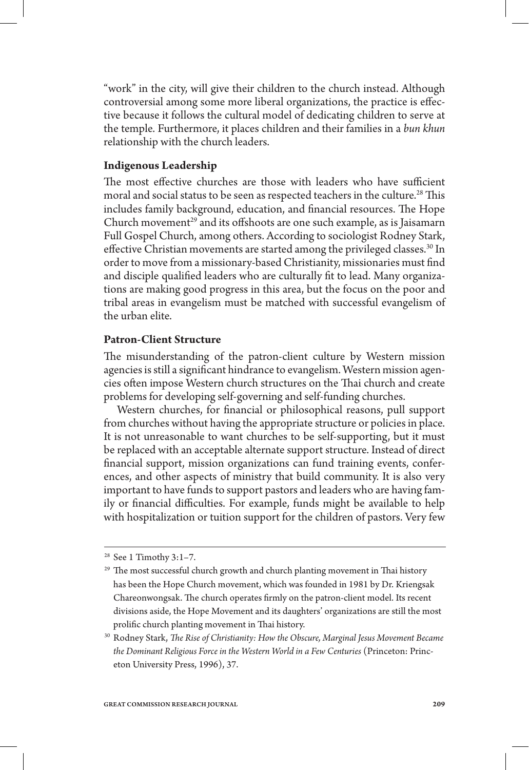"work" in the city, will give their children to the church instead. Although controversial among some more liberal organizations, the practice is effective because it follows the cultural model of dedicating children to serve at the temple. Furthermore, it places children and their families in a *bun khun*  relationship with the church leaders.

# **Indigenous Leadership**

The most effective churches are those with leaders who have sufficient moral and social status to be seen as respected teachers in the culture.<sup>28</sup> This includes family background, education, and financial resources. The Hope Church movement<sup>29</sup> and its offshoots are one such example, as is Jaisamarn Full Gospel Church, among others. According to sociologist Rodney Stark, effective Christian movements are started among the privileged classes.<sup>30</sup> In order to move from a missionary-based Christianity, missionaries must find and disciple qualified leaders who are culturally fit to lead. Many organizations are making good progress in this area, but the focus on the poor and tribal areas in evangelism must be matched with successful evangelism of the urban elite.

# **Patron-Client Structure**

The misunderstanding of the patron-client culture by Western mission agencies is still a significant hindrance to evangelism. Western mission agencies often impose Western church structures on the Thai church and create problems for developing self-governing and self-funding churches.

Western churches, for financial or philosophical reasons, pull support from churches without having the appropriate structure or policies in place. It is not unreasonable to want churches to be self-supporting, but it must be replaced with an acceptable alternate support structure. Instead of direct nancial support, mission organizations can fund training events, conferences, and other aspects of ministry that build community. It is also very important to have funds to support pastors and leaders who are having family or financial difficulties. For example, funds might be available to help with hospitalization or tuition support for the children of pastors. Very few

<sup>28</sup> See 1 Timothy 3:1–7.

<sup>&</sup>lt;sup>29</sup> The most successful church growth and church planting movement in Thai history has been the Hope Church movement, which was founded in 1981 by Dr. Kriengsak Chareonwongsak. The church operates firmly on the patron-client model. Its recent divisions aside, the Hope Movement and its daughters' organizations are still the most prolific church planting movement in Thai history.

<sup>&</sup>lt;sup>30</sup> Rodney Stark, *The Rise of Christianity: How the Obscure, Marginal Jesus Movement Became the Dominant Religious Force in the Western World in a Few Centuries* (Princeton: Princeton University Press, 1996), 37.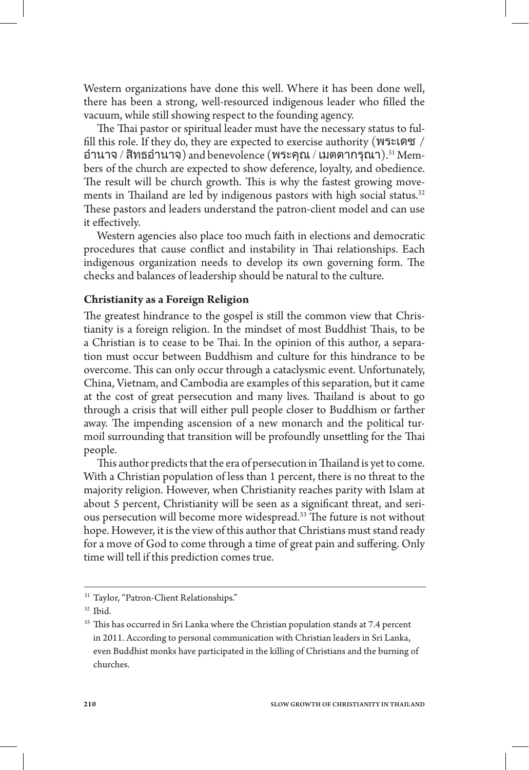Western organizations have done this well. Where it has been done well, there has been a strong, well-resourced indigenous leader who filled the vacuum, while still showing respect to the founding agency.

The Thai pastor or spiritual leader must have the necessary status to fulfill this role. If they do, they are expected to exercise authority ( $W5$  $\mathcal{E}$ ) อำนาจ / สิทธอำนาจ) and benevolence (พระคุณ / เมตตากรุณา). $31$  Members of the church are expected to show deference, loyalty, and obedience. The result will be church growth. This is why the fastest growing movements in Thailand are led by indigenous pastors with high social status. $32$ These pastors and leaders understand the patron-client model and can use it effectively.

Western agencies also place too much faith in elections and democratic procedures that cause conflict and instability in Thai relationships. Each indigenous organization needs to develop its own governing form. The checks and balances of leadership should be natural to the culture.

### **Christianity as a Foreign Religion**

The greatest hindrance to the gospel is still the common view that Christianity is a foreign religion. In the mindset of most Buddhist Thais, to be a Christian is to cease to be Thai. In the opinion of this author, a separation must occur between Buddhism and culture for this hindrance to be overcome. This can only occur through a cataclysmic event. Unfortunately, China, Vietnam, and Cambodia are examples of this separation, but it came at the cost of great persecution and many lives. Thailand is about to go through a crisis that will either pull people closer to Buddhism or farther away. The impending ascension of a new monarch and the political turmoil surrounding that transition will be profoundly unsettling for the Thai people.

This author predicts that the era of persecution in Thailand is yet to come. With a Christian population of less than 1 percent, there is no threat to the majority religion. However, when Christianity reaches parity with Islam at about 5 percent, Christianity will be seen as a significant threat, and serious persecution will become more widespread.<sup>33</sup> The future is not without hope. However, it is the view of this author that Christians must stand ready for a move of God to come through a time of great pain and suffering. Only time will tell if this prediction comes true.

<sup>&</sup>lt;sup>31</sup> Taylor, "Patron-Client Relationships."

 $32$  Ibid.

<sup>&</sup>lt;sup>33</sup> This has occurred in Sri Lanka where the Christian population stands at 7.4 percent in 2011. According to personal communication with Christian leaders in Sri Lanka, even Buddhist monks have participated in the killing of Christians and the burning of churches.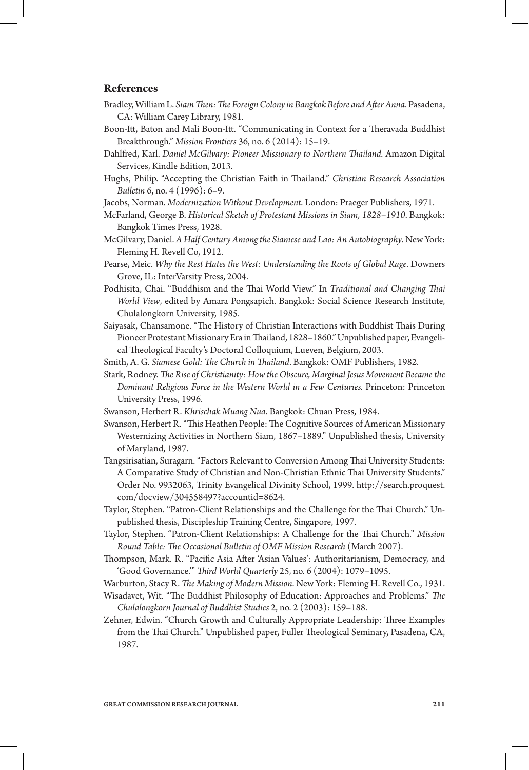#### **References**

- Bradley, William L. S*iam Then: The Foreign Colony in Bangkok Before and After Anna.* Pasadena, CA: William Carey Library, 1981.
- Boon-Itt, Baton and Mali Boon-Itt. "Communicating in Context for a Theravada Buddhist Breakthrough." *Mission Frontiers* 36, no. 6 (2014): 15–19.
- Dahlfred, Karl. *Daniel McGilvary: Pioneer Missionary to Northern Thailand. Amazon Digital* Services, Kindle Edition, 2013.
- Hughs, Philip. "Accepting the Christian Faith in Thailand." *Christian Research Association Bulletin* 6, no. 4 (1996): 6–9.
- Jacobs, Norman. *Modernization Without Development*. London: Praeger Publishers, 1971.
- McFarland, George B. *Historical Sketch of Protestant Missions in Siam, 1828–1910*. Bangkok: Bangkok Times Press, 1928.
- McGilvary, Daniel. *A Half Century Among the Siamese and Lao: An Autobiography*. New York: Fleming H. Revell Co, 1912.
- Pearse, Meic. *Why the Rest Hates the West: Understanding the Roots of Global Rage*. Downers Grove, IL: InterVarsity Press, 2004.
- Podhisita, Chai. "Buddhism and the Thai World View." In *Traditional and Changing Thai World View*, edited by Amara Pongsapich. Bangkok: Social Science Research Institute, Chulalongkorn University, 1985.
- Saiyasak, Chansamone. "The History of Christian Interactions with Buddhist Thais During Pioneer Protestant Missionary Era in Thailand, 1828-1860." Unpublished paper, Evangelical Theological Faculty's Doctoral Colloquium, Lueven, Belgium, 2003.
- Smith, A. G. *Siamese Gold: e Church in ailand*. Bangkok: OMF Publishers, 1982.
- Stark, Rodney. *The Rise of Christianity: How the Obscure, Marginal Jesus Movement Became the Dominant Religious Force in the Western World in a Few Centuries.* Princeton: Princeton University Press, 1996.
- Swanson, Herbert R. *Khrischak Muang Nua*. Bangkok: Chuan Press, 1984.
- Swanson, Herbert R. "This Heathen People: The Cognitive Sources of American Missionary Westernizing Activities in Northern Siam, 1867–1889." Unpublished thesis, University of Maryland, 1987.
- Tangsirisatian, Suragarn. "Factors Relevant to Conversion Among Thai University Students: A Comparative Study of Christian and Non-Christian Ethnic Thai University Students." Order No. 9932063, Trinity Evangelical Divinity School, 1999. http://search.proquest. com/docview/304558497?accountid=8624.
- Taylor, Stephen. "Patron-Client Relationships and the Challenge for the Thai Church." Unpublished thesis, Discipleship Training Centre, Singapore, 1997.
- Taylor, Stephen. "Patron-Client Relationships: A Challenge for the Thai Church." Mission *Round Table: e Occasional Bulletin of OMF Mission Research* (March 2007).
- Thompson, Mark. R. "Pacific Asia After 'Asian Values': Authoritarianism, Democracy, and 'Good Governance.'"  *ird World Quarterly* 25, no. 6 (2004): 1079–1095.
- Warburton, Stacy R.  *e Making of Modern Mission*. New York: Fleming H. Revell Co., 1931.
- Wisadavet, Wit. "The Buddhist Philosophy of Education: Approaches and Problems." *The Chulalongkorn Journal of Buddhist Studies* 2, no. 2 (2003): 159–188.
- Zehner, Edwin. "Church Growth and Culturally Appropriate Leadership: Three Examples from the Thai Church." Unpublished paper, Fuller Theological Seminary, Pasadena, CA, 1987.